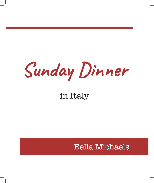

## in Italy

### Bella Michaels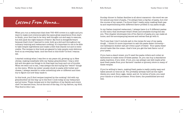## **Lessons From Nonna...**

When you run a restaurant that does 700–800 covers in a night and you want to make sure everyone gets the same great experience from start to finish, your food has to be very well thought out and easy to execute, but still pack the right balance of flavor. My food is straightforward because that's how I learned to cook, both as a kid and throughout my culinary training and restaurant cooking. It's important to me to be able to take simple ingredients and make a dish that stands out and is memorable. The recipes in this book are geared to help people cook delicious food on an everyday basis. And the food in this book? Is food I wanna eat.

I started cooking when I was five or six years old, growing up in New Jersey, making meatballs with my Italian grandmother. I was a wild kid and she gave me things to do that kept me busy and out of trouble. When we went out to eat, I was always the kid trying the "weird" things on the menu. While my sister usually stuck to pasta with butter and cheese, I always wanted to order something new or different and then try to figure out how they made it.

In this book, you'll find recipes inspired by the cooking I did with my grandmother all the way up to the food I cook today at my restaurant and at home. These recipes are in the tradition of my family and every chef I've learned from, but at the end of the day, it's my flavors, my food. This food is who I am.

Sunday dinner in Italian families is all about macaroni—the word we use for almost any kind of pasta. I've always been a big fan of pasta, but over the course of my career, I've found that I really enjoy making fresh pasta and experimenting with different flavor profiles in my pasta dough.

In my Italian-inspired restaurant, I always have 4 or 5 different pastas on the menu that showcase what's fresh and available during the season. This chapter showcases lots of fun flavors of pasta you can make at home, and the accompanying sauces and extras that go with it.

You'll see that I don't include salt in the recipe for any of my pasta dough. I think it's more important to salt the pasta water correctly one tablespoon kosher salt per every quart of water. Your pasta water should taste like the ocean—that's how you get the best flavor out of your pasta.

If you have a stand mixer, you'll need the pasta rollers and cutter attachments to make some of these pastas. Or, you can buy a standalone pasta machine, if you wish. If not, you can always use well-made artisanal fresh pasta from your farmers' market or grocery store in many of these recipes.

If you're willing to learn, making fresh pasta is really pretty easy and takes almost no time at all. You probably already have all the ingredients you need: flour, eggs, water, and oil. In terms of tools, you need your hands or a food processor. From there, the possibilities are endless.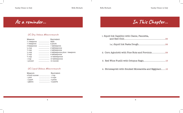$\mathbf{I}$ 

**As a reminder...**

### US Dry Volume Measurements

| Measure                 | Equivalent                    |
|-------------------------|-------------------------------|
| $\frac{1}{16}$ teaspoon | dash                          |
| $\frac{1}{8}$ teaspoon  |                               |
| 3 teaspoons             |                               |
| $\frac{1}{8}$ cup       |                               |
| $\frac{1}{4}$ cup       |                               |
| $\frac{1}{3}$ cup       | 5 tablespoons plus 1 teaspoon |
| $\frac{1}{2}$ cup       |                               |
| $\frac{3}{4}$ cup       |                               |
| 1 cup                   |                               |
| 1 pound                 |                               |
|                         |                               |

#### US Liquid Volume Measurements

| Measure  | Equivalent |
|----------|------------|
|          |            |
| 1 pint   |            |
| 1 quart  |            |
| 1 gallon |            |

| In This Chapter |  |  |  |
|-----------------|--|--|--|
|-----------------|--|--|--|

| 1. Squid Ink Capellini with Clams, Pancetta, |  |
|----------------------------------------------|--|
|                                              |  |
|                                              |  |
|                                              |  |
|                                              |  |

4. Strozzapreti with Smoked Mozzarella and Eggplant.......15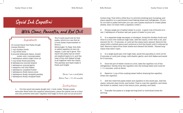## **Squid Ink Capellini**

### **With Clams, Pancetta, and Red Chili**

#### Ingredients:

10 ounces Squid Ink Pasta Dough (recipe follows) 1 cup chicken broth 1 cup white wine 2 pounds littleneck clams, rinsed under cold, running water 1 tablespoon extra virgin olive oil  $\frac{1}{2}$  cup small-diced pancetta 2 tablespoons minced shallot 1 tablespoon minced garlic  $\frac{1}{4}$  teaspoon red chili flakes 1 tablespoon unsalted butter 1 tablespoon fresh lemon juice

- 1 tablespoon finely chopped parsley
- 1 tablespoon finely chopped basil

You'll need squid ink for this pasta, which you can find at a local Asian supermarket or from a

fishmonger. In Italy, this dish is called capellini al nero de seppia. I just call it good. The squid ink pasta has an inherent seafood taste to it, and the heat of the chili flakes brings it all together with the clams. The parsley and basil make it fresh and bright

Serves 4 as a small plate

Active Time = 55–60 minutes

#### Instructions:

1. Cut the squid ink pasta dough into 1-inch cubes. Using a pasta extruder fitted with the capellini attachment, place the pieces one at a time into the powered extruder. Capellini will begin to form and cut at around 8

inches long. Toss with a little flour to prevent sticking and clumping, and place capellini on a parchment-lined baking sheet and refrigerate. (If you do not have a pasta extruder you can use a pasta machine to create pasta sheets, then cut them with a capellini cutter.)

2. Bring a large pot of salted water to a boil. A good rule of thumb is to use 1 tablespoon of kosher salt per quart of water in your pot.

3. In a separate large saucepan or stockpot, bring the chicken broth and wine to a boil over medium-high heat. Add the clams, cover with a lid, and simmer for  $4\frac{1}{2}$  – 5 minutes, or until all the clams have opened. Remove the clams with a slotted spoon and continue to boil the liquid until it reduces by half. Remove clams from their shells and discard the shells. Discard any clams that didn't open.

4. In a large sauté pan over high heat, sauté the pancetta in olive oil for 3 minutes or until just crispy. Add shallot, garlic, and chili flakes and sauté for 3 minutes.

5. Once the pot of water comes to a boil, take the capellini out of the refrigerator. Gently drop the capellini into the boiling water and cook for 1–1½ minutes, until al dente.

6. Reserve  $\frac{1}{4}$  cup of the cooking water before draining the capellini. Drain the capellini.

7. Add the reserved pasta water and capellini to the sauté pan. Add the clams, reduced clam broth, and butter. Toss to coat the capellini, and when the butter is melted, toss in the lemon juice, parsley, and basil.

8. Transfer the pasta to a large serving bowl or individual bowls for serving.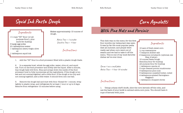# **Squid Ink Pasta Dough**

#### Ingredients:

 $\overline{a}$ 

 $1\frac{1}{4}$  cups "00" flour (or allpurpose flour), plus more for dusting 3 large egg yolks 2½ tablespoons water 1 tablespoon extra virgin olive oil 1 tablespoon squid ink

Makes approximately 10 ounces of dough.

> Active Time = 5 minutes Inactive Time = 1 hour

> > Instructions:

1. Add the "00" flour to a food processor fitted with a plastic dough blade.

2. In a separate bowl, whisk the egg yolks, water, olive oil, and squid ink. Turn on the food processor and slowly add the liquid. After a minute, tiny dough balls will form. Stop and scrape down the inside of the food processor bowl to fully incorporate all the ingredients. If the dough is too wet and not coming together, add a little flour. If the dough is too dry and not coming together, add a little water. It should form into one ball.

3. Remove the dough ball and dust with flour. Knead for 1 minute, wrap tightly in plastic wrap, and refrigerate for at least 1 hour or up to 2 days. Remove from refrigerator 10 minutes before using.

**With Pine Nuts and Porcinis**

This dish was on the menu for the first four months my restaurant was open. It was by far the most popular pasta dish all summer, and people were really sad when corn went out of season and we had to take it off the menu. This is one of my most favorite dishes we've ever done.

Serves 4 as a small plate Active Time = 1 hour 30 minutes

#### Instructions:

1. Using a sharp chef's knife, slice the corn kernels off the cobs, and use the back of your knife to extract extra corn juice. You should have 4 cups of kernels with juice.

Ingredients:

**Corn Agnolotti** 

10 ears of fresh sweet corn  $\frac{1}{3}$  cup mascarpone ¾ teaspoon kosher salt 2 teaspoons cornstarch (optional; see Step 4 below) 10 ounces Pasta Dough Semolina flour for dusting All-purpose flour for dusting 1 tablespoon canola oil 3 cups cleaned porcini mushrooms 3 tablespoons pine nuts 5 tablespoons unsalted butter, cubed 4 tablespoons grated Parmigiano-Reggiano 1 tablespoon chopped chives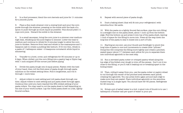Sunday Dinner in Italy Bella Michaels Bella Michaels Sunday Dinner in Italy

2. In a food processor, blend the corn kernels and juice for  $1\frac{1}{2}$  minutes for a smooth purée.

3. Place a fine-mesh strainer over a mixing bowl and pour the corn purée through the strainer, pressing on the solids with the back of a spoon to push through as much liquid as possible. This should yield  $1\frac{1}{2}$ cups corn juice. Discard the solids in the strainer.

4. In a small saucepan, bring the corn juice to a simmer over mediumhigh heat, whisking as the juice begins to simmer. Lower the heat to medium and continue to whisk for 2 minutes longer to allow the corn juice to thicken. Remove from heat and whisk in the mascarpone and  $\frac{1}{4}$ teaspoon salt to create a pudding-like texture. If it's too thin, whisk in a paste of 1 tablespoon water + 2 teaspoons cornstarch while liquid is simmering.

5. Transfer to a bowl, cover, and refrigerate for 30 minutes or up to 2 days. When chilled, put the corn filling into a pastry bag or Ziploc bag with ½ inch snipped off the corner just before piping.

6. Divide the pasta dough into 2 equal pieces. Flatten with the heel of your hand, then roll the first piece of pasta dough through pasta machine on the widest setting twice. Fold it lengthwise, and roll it through 1 more time.

7. Adjust rollers to next setting and roll pasta sheet through one time. Adjust rollers to next setting and put pasta sheet through again. Continue this until you have reached the fifth-widest setting of your pasta rollers. You may need to cut the pasta sheet in half depending on the size of your work surface. Lay the rolled pasta sheet on a flat, lightly floured surface.

8. Repeat with second piece of pasta dough.

9. Dust a baking sheet (that will fit into your refrigerator) with semolina flour. Set aside.

10. With the pasta on a lightly floured flat surface, pipe the corn filling in a straight line on the pasta sheet, about  $\frac{1}{2}$  inch up from the bottom edge. Fold the bottom up and press it into top of the pasta sheet, leaving  $\frac{1}{2}$  inch of space for the filling to move into. Press all the way down the long line of the pasta to seal it closed into a sort of tube.

11. Starting at one end, use your thumb and forefinger to pinch this long tube of pasta in one-inch increments to create little "pillows." Doing this will compress the filling more tightly and create a pinched, sealed space (about  $\frac{3}{4}$ ") between each pillow for you to separate them into individual agnolotti in the next step.

12. Run a serrated pasta cutter or crimped pastry wheel along the top edge of the folded-over dough to trim off the excess. Don't cut it too close to the filling, or you'll risk it leaking out or breaking apart in the boiling water.

13. Then, rolling it away from you, use the pasta cutter or pastry wheel to cut through the center of the pinched area between each pillow, creating the agnolotti. You can press down again around each edge to make sure they are sealed. Place individual agnolotti on the semolinadusted tray in a single layer. You should have 45–50 pieces. Refrigerate for 20 minutes.

14. Bring a pot of salted water to a boil. A good rule of thumb is to use 1 tablespoon of kosher salt per quart of water in your pot.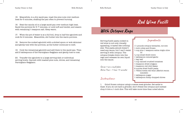#### Sunday Dinner in Italy Bella Michaels Bella Michaels Sunday Dinner in Italy

15. Meanwhile, in a dry sauté pan, toast the pine nuts over medium heat for 5 minutes, shaking the pan often to prevent burning.

16. Heat the canola oil in a large sauté pan over medium-high heat. Sauté the porcinis for 5–7 minutes, or until soft and tender, and season with remaining ½ teaspoon salt. Keep warm.

17. When the pot of water is at a full boil, drop in half the agnolotti and cook for 2 minutes. Meanwhile, stir butter into the warm porcinis.

18. Remove the cooked agnolotti with a slotted spoon or wok skimmer and gently toss with the porcinis, as the butter continues to melt.

19. Cook the remaining agnolotti and add them to the sauté pan. Then add 2 tablespoons of the Parmigiano-Reggiano and gently toss to coat.

20. Transfer the agnolotti to a large serving dish or individual serving bowls. Garnish with toasted pine nuts, chives, and remaining Parmigiano-Reggiano.

### **With Octopus Ragu**

Serving fusilli pasta cooked in red wine is not only visually appealing, it tastes like nothing else. This pasta almost doesn't need any sauce, but I can't resist serving it with octopus. The octopus breaks down into the ragu and releases its own liquid into the sauce.

Serves 4 as a small plate Active Time = 1 hour 15 minutes

#### Instructions:

Ingredients: 1¼ pounds octopus tentacles, cut into 1-inch cubes and frozen  $\frac{1}{4}$  cup plus 1 teaspoon extra virgin olive oil ⅓ cup small-diced onion 1 tablespoon minced garlic 1 bay leaf ½ cup canned crushed tomatoes ¼ teaspoon dried oregano ¼ teaspoon red chili flakes 6 ounces dried fusilli pasta 1 750ml bottle red wine (Merlot recom mended) 1 tablespoon sugar 1 tablespoon finely chopped chives

**Red Wine Fusilli** 

1. Grind frozen octopus using a coarse meat grinder. Set aside to thaw. If you do not have a grinder, don't freeze the octopus and instead chop it into a  $\frac{1}{4}$ -inch dice. This will take more time than noted above.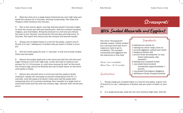#### Sunday Dinner in Italy Bella Michaels Bella Michaels Sunday Dinner in Italy

2. Heat the olive oil in a large heavy-bottomed pot over high heat and sauté the octopus for 3 minutes, stirring occasionally. The meat will release a little moisture into the pan.

3. Stir in the onions, garlic, and bay leaf and sauté 3 minutes longer, or until the onions are soft and translucent. Add the crushed tomatoes, oregano, and chili flakes. Bring the mixture to a low boil and reduce the heat to low. Simmer uncovered for 45 minutes, stirring every 10 minutes. The liquid will reduce and the octopus will become tender.

4. Bring a pot of salted water to a boil for the pasta. A good rule of thumb is to use 1 tablespoon of kosher salt per quart of water in your pot.

5. Boil the fusilli pasta for just 1½ minutes—it will not be fully cooked. Drain and set aside.

6. Return the empty pasta pot to the stove and add the red wine and sugar. Bring to a boil over high heat. Lower the heat to medium and simmer for 10–12 minutes, or until wine reduces by half. At this point the octopus ragu should be finished and can be kept warm on the stove until pasta is ready.

7. Return the reduced wine to a boil and add the pasta to finish cooking it. Gently stir the pasta to prevent sticking and boil for 1½ minutes, until the pasta is al dente. Drain and toss the pasta with remaining olive oil to prevent sticking, then transfer to a large bowl or individual bowls and top with the octopus ragu. Garnish with chives and serve.

# **Strozzapreti**

# **With Smoked Mozzarella and Eggplant**

The word "strozzapreti" literally means "priest choker," but I promise this dish wo make you have to go to confession. The smoked mozzarella and eggplant the standouts in this dish.

Serves 4 as a small plate Active Time = 40–45 minutes

Instructions:

### Ingredients:

| )n't | 2 tablespoons canola oil                        |
|------|-------------------------------------------------|
|      | 1 tablespoon extra virgin olive oil             |
|      | $\frac{3}{4}$ pounds eggplant, peeled and cubed |
| are  | $\frac{1}{2}$ teaspoon kosher salt              |
|      | $\frac{1}{2}$ pound dried strozzapreti (or any  |
|      | dried rolled pasta, like                        |
|      | cavatelli)                                      |
|      | 2 tablespoons unsalted butter                   |
|      | 1 cup small-diced smoked                        |
|      | mozzarella (approximately $\frac{1}{4}$         |
|      | pound)                                          |
|      | 1 cup grated Parmigiano-Reggiano                |
|      | 1 tablespoon finely chopped parsley             |
|      |                                                 |

1. Bring a large pot of salted water to a boil for the pasta. A good rule of thumb is to use 1 tablespoon of kosher salt per quart of water in your pot.

2. In a large sauté pan, heat the oils over medium-high heat. Add the